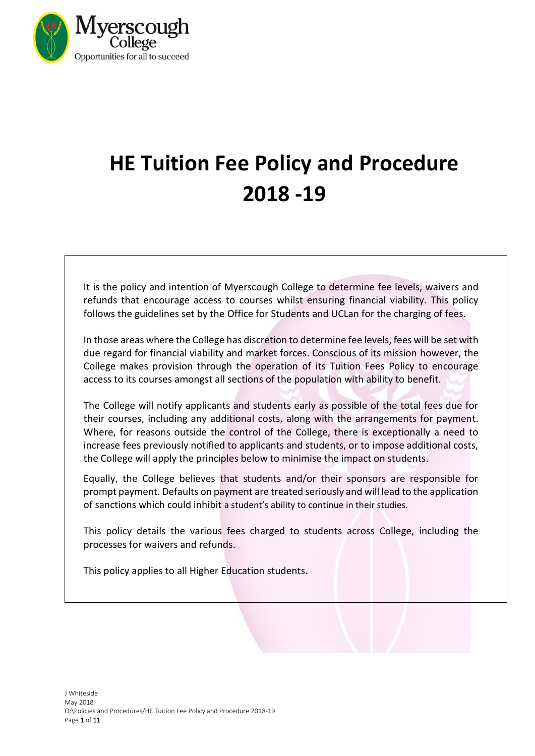

# **HE Tuition Fee Policy and Procedure 2018 -19**

It is the policy and intention of Myerscough College to determine fee levels, waivers and refunds that encourage access to courses whilst ensuring financial viability. This policy follows the guidelines set by the Office for Students and UCLan for the charging of fees.

In those areas where the College has discretion to determine fee levels, fees will be set with due regard for financial viability and market forces. Conscious of its mission however, the College makes provision through the operation of its Tuition Fees Policy to encourage access to its courses amongst all sections of the population with ability to benefit.

The College will notify applicants and students early as possible of the total fees due for their courses, including any additional costs, along with the arrangements for payment. Where, for reasons outside the control of the College, there is exceptionally a need to increase fees previously notified to applicants and students, or to impose additional costs, the College will apply the principles below to minimise the impact on students.

Equally, the College believes that students and/or their sponsors are responsible for prompt payment. Defaults on payment are treated seriously and will lead to the application of sanctions which could inhibit a student's ability to continue in their studies.

This policy details the various fees charged to students across College, including the processes for waivers and refunds.

This policy applies to all Higher Education students.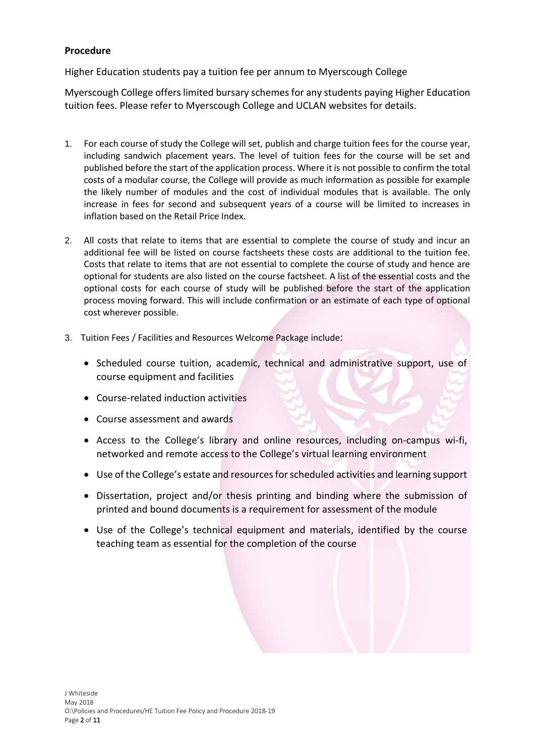## **Procedure**

Higher Education students pay a tuition fee per annum to Myerscough College

Myerscough College offers limited bursary schemes for any students paying Higher Education tuition fees. Please refer to Myerscough College and UCLAN websites for details.

- 1. For each course of study the College will set, publish and charge tuition fees for the course year, including sandwich placement years. The level of tuition fees for the course will be set and published before the start of the application process. Where it is not possible to confirm the total costs of a modular course, the College will provide as much information as possible for example the likely number of modules and the cost of individual modules that is available. The only increase in fees for second and subsequent years of a course will be limited to increases in inflation based on the Retail Price Index.
- 2. All costs that relate to items that are essential to complete the course of study and incur an additional fee will be listed on course factsheets these costs are additional to the tuition fee. Costs that relate to items that are not essential to complete the course of study and hence are optional for students are also listed on the course factsheet. A list of the essential costs and the optional costs for each course of study will be published before the start of the application process moving forward. This will include confirmation or an estimate of each type of optional cost wherever possible.
- 3. Tuition Fees / Facilities and Resources Welcome Package include:
	- Scheduled course tuition, academic, technical and administrative support, use of course equipment and facilities
	- Course-related induction activities
	- Course assessment and awards
	- Access to the College's library and online resources, including on-campus wi-fi, networked and remote access to the College's virtual learning environment
	- Use of the College's estate and resources for scheduled activities and learning support
	- Dissertation, project and/or thesis printing and binding where the submission of printed and bound documents is a requirement for assessment of the module
	- Use of the College's technical equipment and materials, identified by the course teaching team as essential for the completion of the course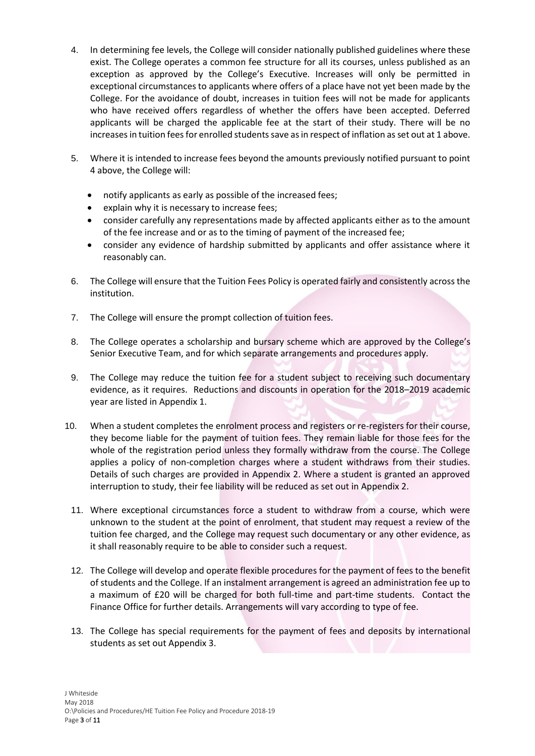- 4. In determining fee levels, the College will consider nationally published guidelines where these exist. The College operates a common fee structure for all its courses, unless published as an exception as approved by the College's Executive. Increases will only be permitted in exceptional circumstances to applicants where offers of a place have not yet been made by the College. For the avoidance of doubt, increases in tuition fees will not be made for applicants who have received offers regardless of whether the offers have been accepted. Deferred applicants will be charged the applicable fee at the start of their study. There will be no increases in tuition fees for enrolled students save as in respect of inflation as set out at 1 above.
- 5. Where it is intended to increase fees beyond the amounts previously notified pursuant to point 4 above, the College will:
	- notify applicants as early as possible of the increased fees;
	- explain why it is necessary to increase fees;
	- consider carefully any representations made by affected applicants either as to the amount of the fee increase and or as to the timing of payment of the increased fee;
	- consider any evidence of hardship submitted by applicants and offer assistance where it reasonably can.
- 6. The College will ensure that the Tuition Fees Policy is operated fairly and consistently across the institution.
- 7. The College will ensure the prompt collection of tuition fees.
- 8. The College operates a scholarship and bursary scheme which are approved by the College's Senior Executive Team, and for which separate arrangements and procedures apply.
- 9. The College may reduce the tuition fee for a student subject to receiving such documentary evidence, as it requires. Reductions and discounts in operation for the 2018–2019 academic year are listed in Appendix 1.
- 10. When a student completes the enrolment process and registers or re-registers for their course, they become liable for the payment of tuition fees. They remain liable for those fees for the whole of the registration period unless they formally withdraw from the course. The College applies a policy of non-completion charges where a student withdraws from their studies. Details of such charges are provided in Appendix 2. Where a student is granted an approved interruption to study, their fee liability will be reduced as set out in Appendix 2.
	- 11. Where exceptional circumstances force a student to withdraw from a course, which were unknown to the student at the point of enrolment, that student may request a review of the tuition fee charged, and the College may request such documentary or any other evidence, as it shall reasonably require to be able to consider such a request.
	- 12. The College will develop and operate flexible procedures for the payment of fees to the benefit of students and the College. If an instalment arrangement is agreed an administration fee up to a maximum of £20 will be charged for both full-time and part-time students. Contact the Finance Office for further details. Arrangements will vary according to type of fee.
	- 13. The College has special requirements for the payment of fees and deposits by international students as set out Appendix 3.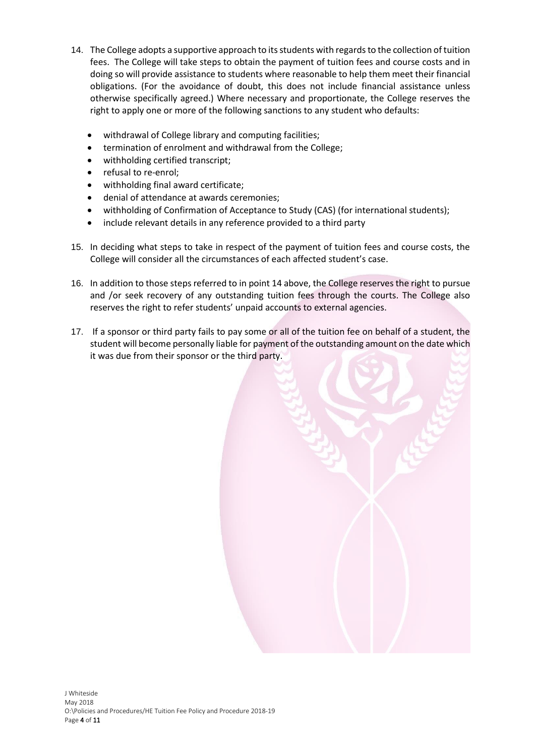- 14. The College adopts a supportive approach to its students with regards to the collection of tuition fees. The College will take steps to obtain the payment of tuition fees and course costs and in doing so will provide assistance to students where reasonable to help them meet their financial obligations. (For the avoidance of doubt, this does not include financial assistance unless otherwise specifically agreed.) Where necessary and proportionate, the College reserves the right to apply one or more of the following sanctions to any student who defaults:
	- withdrawal of College library and computing facilities;
	- termination of enrolment and withdrawal from the College;
	- withholding certified transcript;
	- refusal to re-enrol;
	- withholding final award certificate;
	- denial of attendance at awards ceremonies;
	- withholding of Confirmation of Acceptance to Study (CAS) (for international students);
	- include relevant details in any reference provided to a third party
- 15. In deciding what steps to take in respect of the payment of tuition fees and course costs, the College will consider all the circumstances of each affected student's case.
- 16. In addition to those steps referred to in point 14 above, the College reserves the right to pursue and /or seek recovery of any outstanding tuition fees through the courts. The College also reserves the right to refer students' unpaid accounts to external agencies.
- 17. If a sponsor or third party fails to pay some or all of the tuition fee on behalf of a student, the student will become personally liable for payment of the outstanding amount on the date which it was due from their sponsor or the third party.

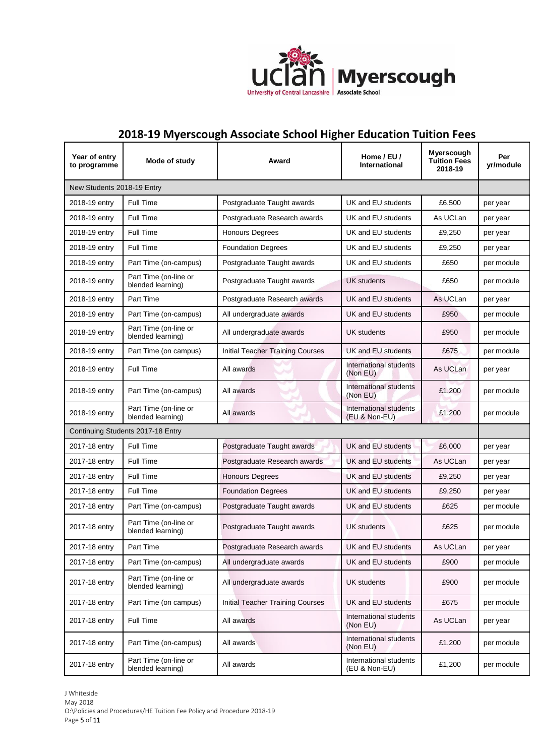

## **2018-19 Myerscough Associate School Higher Education Tuition Fees**

| Year of entry<br>to programme     | Mode of study                              | Award                                   | Home / EU /<br>International            | Myerscough<br><b>Tuition Fees</b><br>2018-19 | Per<br>yr/module |  |
|-----------------------------------|--------------------------------------------|-----------------------------------------|-----------------------------------------|----------------------------------------------|------------------|--|
| New Students 2018-19 Entry        |                                            |                                         |                                         |                                              |                  |  |
| 2018-19 entry                     | <b>Full Time</b>                           | Postgraduate Taught awards              | UK and EU students                      | £6,500                                       | per year         |  |
| 2018-19 entry                     | Full Time                                  | Postgraduate Research awards            | UK and EU students                      | As UCLan                                     | per year         |  |
| 2018-19 entry                     | Full Time                                  | <b>Honours Degrees</b>                  | UK and EU students                      | £9,250                                       | per year         |  |
| 2018-19 entry                     | Full Time                                  | <b>Foundation Degrees</b>               | UK and EU students                      | £9,250                                       | per year         |  |
| 2018-19 entry                     | Part Time (on-campus)                      | Postgraduate Taught awards              | UK and EU students                      | £650                                         | per module       |  |
| 2018-19 entry                     | Part Time (on-line or<br>blended learning) | Postgraduate Taught awards              | <b>UK students</b>                      | £650                                         | per module       |  |
| 2018-19 entry                     | Part Time                                  | Postgraduate Research awards            | UK and EU students                      | As UCLan                                     | per year         |  |
| 2018-19 entry                     | Part Time (on-campus)                      | All undergraduate awards                | UK and EU students                      | £950                                         | per module       |  |
| 2018-19 entry                     | Part Time (on-line or<br>blended learning) | All undergraduate awards                | UK students                             | £950                                         | per module       |  |
| 2018-19 entry                     | Part Time (on campus)                      | <b>Initial Teacher Training Courses</b> | UK and EU students                      | £675                                         | per module       |  |
| 2018-19 entry                     | Full Time                                  | All awards                              | International students<br>(Non EU)      | As UCLan                                     | per year         |  |
| 2018-19 entry                     | Part Time (on-campus)                      | All awards                              | International students<br>(Non EU)      | £1,200                                       | per module       |  |
| 2018-19 entry                     | Part Time (on-line or<br>blended learning) | All awards                              | International students<br>(EU & Non-EU) | £1,200                                       | per module       |  |
| Continuing Students 2017-18 Entry |                                            |                                         |                                         |                                              |                  |  |
| 2017-18 entry                     | <b>Full Time</b>                           | Postgraduate Taught awards              | UK and EU students                      | £6,000                                       | per year         |  |
| 2017-18 entry                     | Full Time                                  | Postgraduate Research awards            | UK and EU students                      | As UCLan                                     | per year         |  |
| 2017-18 entry                     | Full Time                                  | <b>Honours Degrees</b>                  | UK and EU students                      | £9,250                                       | per year         |  |
| 2017-18 entry                     | Full Time                                  | <b>Foundation Degrees</b>               | UK and EU students                      | £9,250                                       | per year         |  |
| 2017-18 entry                     | Part Time (on-campus)                      | Postgraduate Taught awards              | UK and EU students                      | £625                                         | per module       |  |
| 2017-18 entry                     | Part Time (on-line or<br>blended learning) | Postgraduate Taught awards              | <b>UK students</b>                      | £625                                         | per module       |  |
| 2017-18 entry                     | Part Time                                  | Postgraduate Research awards            | UK and EU students                      | As UCLan                                     | per year         |  |
| 2017-18 entry                     | Part Time (on-campus)                      | All undergraduate awards                | UK and EU students                      | £900                                         | per module       |  |
| 2017-18 entry                     | Part Time (on-line or<br>blended learning) | All undergraduate awards                | <b>UK students</b>                      | £900                                         | per module       |  |
| 2017-18 entry                     | Part Time (on campus)                      | Initial Teacher Training Courses        | UK and EU students                      | £675                                         | per module       |  |
| 2017-18 entry                     | Full Time                                  | All awards                              | International students<br>(Non EU)      | As UCLan                                     | per year         |  |
| 2017-18 entry                     | Part Time (on-campus)                      | All awards                              | International students<br>(Non EU)      | £1,200                                       | per module       |  |
| 2017-18 entry                     | Part Time (on-line or<br>blended learning) | All awards                              | International students<br>(EU & Non-EU) | £1,200                                       | per module       |  |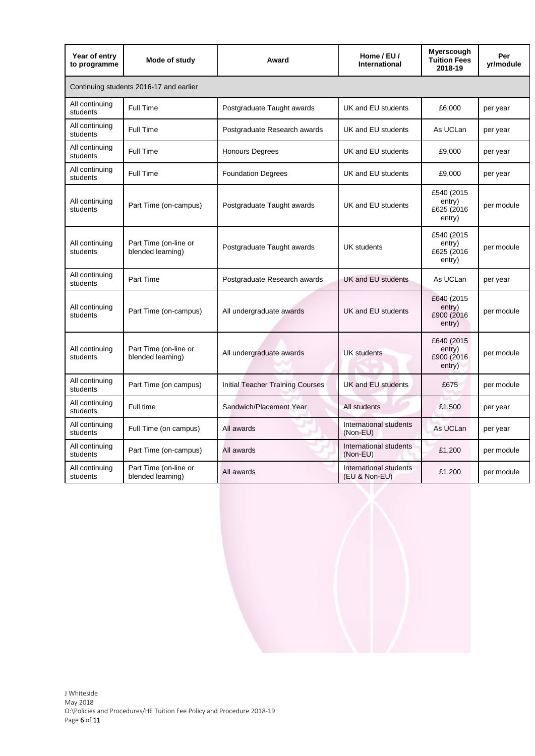| Year of entry<br>to programme           | Mode of study                              | Award                                   | Home / EU /<br>International            | Myerscough<br><b>Tuition Fees</b><br>2018-19   | Per<br>yr/module |  |  |
|-----------------------------------------|--------------------------------------------|-----------------------------------------|-----------------------------------------|------------------------------------------------|------------------|--|--|
| Continuing students 2016-17 and earlier |                                            |                                         |                                         |                                                |                  |  |  |
| All continuing<br>students              | Full Time                                  | Postgraduate Taught awards              | UK and EU students                      | £6,000                                         | per year         |  |  |
| All continuing<br>students              | Full Time                                  | Postgraduate Research awards            | UK and EU students                      | As UCLan                                       | per year         |  |  |
| All continuing<br>students              | <b>Full Time</b>                           | <b>Honours Degrees</b>                  | UK and EU students                      | £9,000                                         | per year         |  |  |
| All continuing<br>students              | Full Time                                  | <b>Foundation Degrees</b>               | UK and EU students                      | £9,000                                         | per year         |  |  |
| All continuing<br>students              | Part Time (on-campus)                      | Postgraduate Taught awards              | UK and EU students                      | £540 (2015<br>entry)<br>£625 (2016)<br>entry)  | per module       |  |  |
| All continuing<br>students              | Part Time (on-line or<br>blended learning) | Postgraduate Taught awards              | <b>UK</b> students                      | £540 (2015<br>entry)<br>£625 (2016)<br>entry)  | per module       |  |  |
| All continuing<br>students              | Part Time                                  | Postgraduate Research awards            | UK and EU students                      | As UCLan                                       | per year         |  |  |
| All continuing<br>students              | Part Time (on-campus)                      | All undergraduate awards                | UK and EU students                      | £640 (2015<br>entry)<br>£900 (2016)<br>entry)  | per module       |  |  |
| All continuing<br>students              | Part Time (on-line or<br>blended learning) | All undergraduate awards                | <b>UK</b> students                      | £640 (2015)<br>entry)<br>£900 (2016)<br>entry) | per module       |  |  |
| All continuing<br>students              | Part Time (on campus)                      | <b>Initial Teacher Training Courses</b> | <b>UK and EU students</b>               | £675                                           | per module       |  |  |
| All continuing<br>students              | Full time                                  | Sandwich/Placement Year                 | All students                            | £1,500                                         | per year         |  |  |
| All continuing<br>students              | Full Time (on campus)                      | All awards                              | International students<br>(Non-EU)      | As UCLan                                       | per year         |  |  |
| All continuing<br>students              | Part Time (on-campus)                      | All awards                              | International students<br>(Non-EU)      | £1,200                                         | per module       |  |  |
| All continuing<br>students              | Part Time (on-line or<br>blended learning) | All awards                              | International students<br>(EU & Non-EU) | £1,200                                         | per module       |  |  |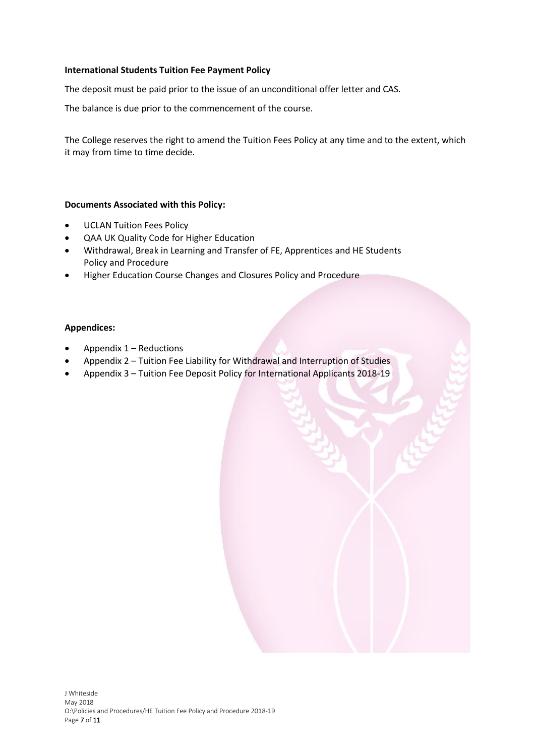## **International Students Tuition Fee Payment Policy**

The deposit must be paid prior to the issue of an unconditional offer letter and CAS.

The balance is due prior to the commencement of the course.

The College reserves the right to amend the Tuition Fees Policy at any time and to the extent, which it may from time to time decide.

## **Documents Associated with this Policy:**

- UCLAN Tuition Fees Policy
- QAA UK Quality Code for Higher Education
- Withdrawal, Break in Learning and Transfer of FE, Apprentices and HE Students Policy and Procedure
- Higher Education Course Changes and Closures Policy and Procedure

## **Appendices:**

- $\bullet$  Appendix 1 Reductions
- Appendix 2 Tuition Fee Liability for Withdrawal and Interruption of Studies
- Appendix 3 Tuition Fee Deposit Policy for International Applicants 2018-19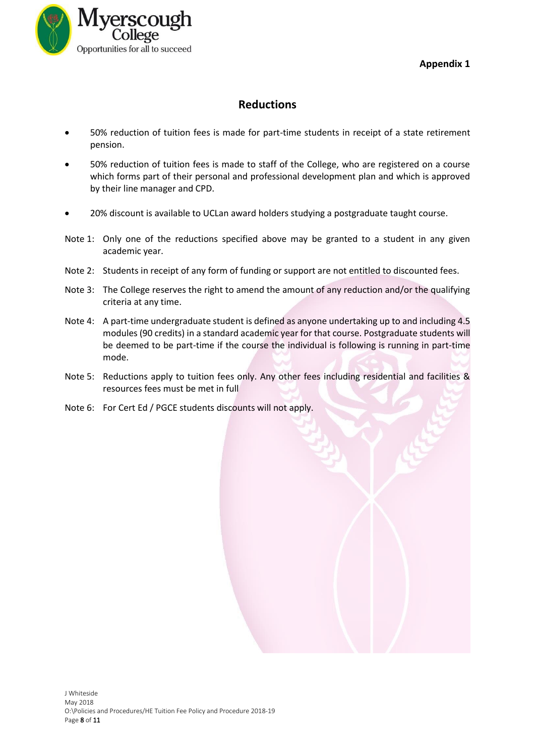**Appendix 1** 



## **Reductions**

- 50% reduction of tuition fees is made for part-time students in receipt of a state retirement pension.
- 50% reduction of tuition fees is made to staff of the College, who are registered on a course which forms part of their personal and professional development plan and which is approved by their line manager and CPD.
- 20% discount is available to UCLan award holders studying a postgraduate taught course.
- Note 1: Only one of the reductions specified above may be granted to a student in any given academic year.
- Note 2: Students in receipt of any form of funding or support are not entitled to discounted fees.
- Note 3: The College reserves the right to amend the amount of any reduction and/or the qualifying criteria at any time.
- Note 4: A part-time undergraduate student is defined as anyone undertaking up to and including 4.5 modules (90 credits) in a standard academic year for that course. Postgraduate students will be deemed to be part-time if the course the individual is following is running in part-time mode.
- Note 5: Reductions apply to tuition fees only. Any other fees including residential and facilities & resources fees must be met in full
- Note 6: For Cert Ed / PGCE students discounts will not apply.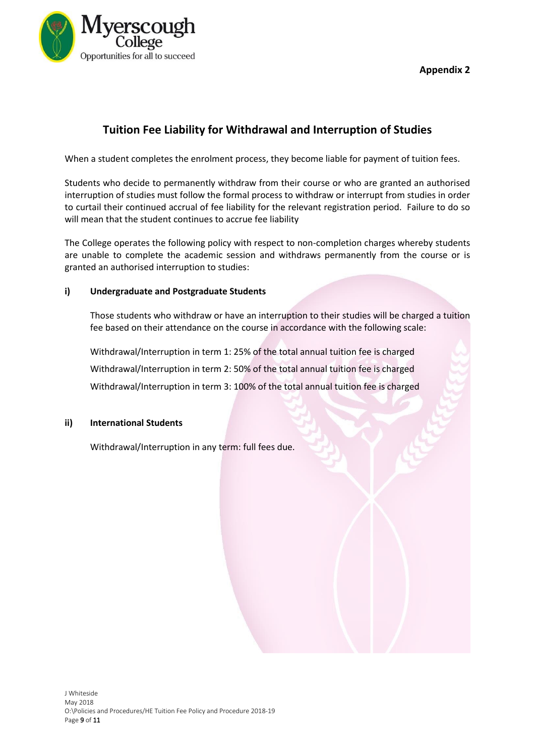

**Appendix 2** 

## **Tuition Fee Liability for Withdrawal and Interruption of Studies**

When a student completes the enrolment process, they become liable for payment of tuition fees.

Students who decide to permanently withdraw from their course or who are granted an authorised interruption of studies must follow the formal process to withdraw or interrupt from studies in order to curtail their continued accrual of fee liability for the relevant registration period. Failure to do so will mean that the student continues to accrue fee liability

The College operates the following policy with respect to non-completion charges whereby students are unable to complete the academic session and withdraws permanently from the course or is granted an authorised interruption to studies:

## **i) Undergraduate and Postgraduate Students**

Those students who withdraw or have an interruption to their studies will be charged a tuition fee based on their attendance on the course in accordance with the following scale:

Withdrawal/Interruption in term 1: 25% of the total annual tuition fee is charged Withdrawal/Interruption in term 2: 50% of the total annual tuition fee is charged Withdrawal/Interruption in term 3: 100% of the total annual tuition fee is charged

## **ii) International Students**

Withdrawal/Interruption in any term: full fees due.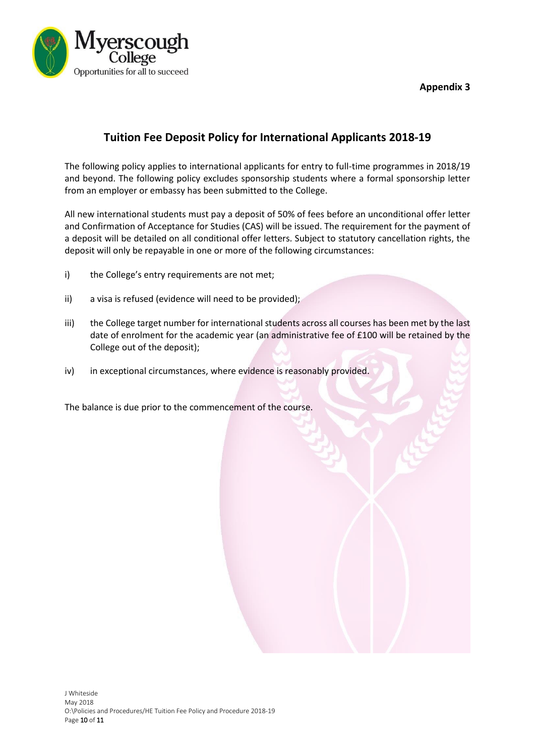

**Appendix 3**

## **Tuition Fee Deposit Policy for International Applicants 2018-19**

The following policy applies to international applicants for entry to full-time programmes in 2018/19 and beyond. The following policy excludes sponsorship students where a formal sponsorship letter from an employer or embassy has been submitted to the College.

All new international students must pay a deposit of 50% of fees before an unconditional offer letter and Confirmation of Acceptance for Studies (CAS) will be issued. The requirement for the payment of a deposit will be detailed on all conditional offer letters. Subject to statutory cancellation rights, the deposit will only be repayable in one or more of the following circumstances:

- i) the College's entry requirements are not met;
- ii) a visa is refused (evidence will need to be provided);
- iii) the College target number for international students across all courses has been met by the last date of enrolment for the academic year (an administrative fee of £100 will be retained by the College out of the deposit);
- iv) in exceptional circumstances, where evidence is reasonably provided.

The balance is due prior to the commencement of the course.